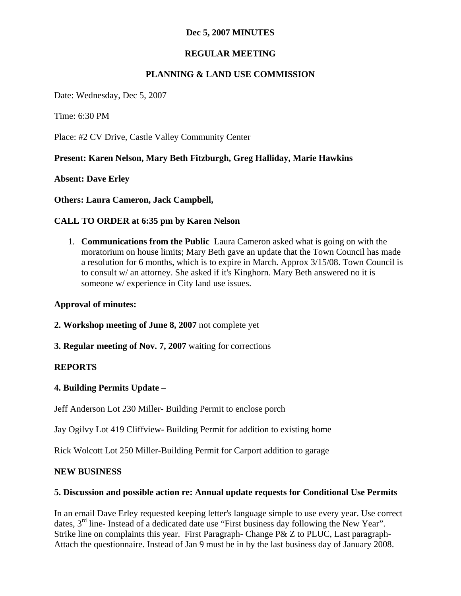## **Dec 5, 2007 MINUTES**

# **REGULAR MEETING**

# **PLANNING & LAND USE COMMISSION**

Date: Wednesday, Dec 5, 2007

Time: 6:30 PM

Place: #2 CV Drive, Castle Valley Community Center

## **Present: Karen Nelson, Mary Beth Fitzburgh, Greg Halliday, Marie Hawkins**

**Absent: Dave Erley**

**Others: Laura Cameron, Jack Campbell,**

## **CALL TO ORDER at 6:35 pm by Karen Nelson**

1. **Communications from the Public** Laura Cameron asked what is going on with the moratorium on house limits; Mary Beth gave an update that the Town Council has made a resolution for 6 months, which is to expire in March. Approx 3/15/08. Town Council is to consult w/ an attorney. She asked if it's Kinghorn. Mary Beth answered no it is someone w/ experience in City land use issues.

## **Approval of minutes:**

**2. Workshop meeting of June 8, 2007** not complete yet

**3. Regular meeting of Nov. 7, 2007** waiting for corrections

## **REPORTS**

## **4. Building Permits Update** –

Jeff Anderson Lot 230 Miller- Building Permit to enclose porch

Jay Ogilvy Lot 419 Cliffview- Building Permit for addition to existing home

Rick Wolcott Lot 250 Miller-Building Permit for Carport addition to garage

#### **NEW BUSINESS**

## **5. Discussion and possible action re: Annual update requests for Conditional Use Permits**

In an email Dave Erley requested keeping letter's language simple to use every year. Use correct dates,  $3<sup>rd</sup>$  line- Instead of a dedicated date use "First business day following the New Year". Strike line on complaints this year. First Paragraph- Change P& Z to PLUC, Last paragraph-Attach the questionnaire. Instead of Jan 9 must be in by the last business day of January 2008.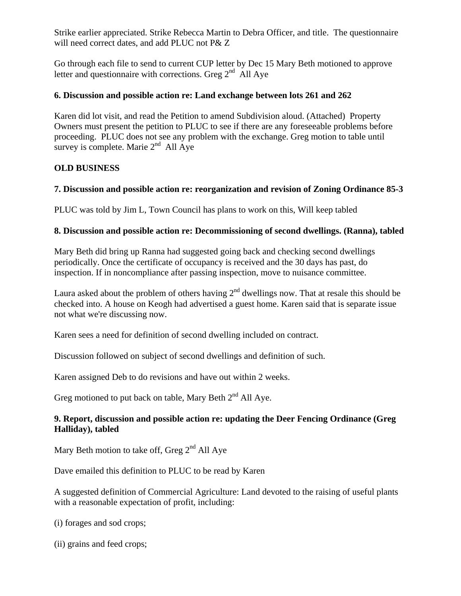Strike earlier appreciated. Strike Rebecca Martin to Debra Officer, and title. The questionnaire will need correct dates, and add PLUC not P& Z

Go through each file to send to current CUP letter by Dec 15 Mary Beth motioned to approve letter and questionnaire with corrections. Greg  $2<sup>nd</sup>$  All Aye

### **6. Discussion and possible action re: Land exchange between lots 261 and 262**

Karen did lot visit, and read the Petition to amend Subdivision aloud. (Attached) Property Owners must present the petition to PLUC to see if there are any foreseeable problems before proceeding. PLUC does not see any problem with the exchange. Greg motion to table until survey is complete. Marie  $2<sup>nd</sup>$  All Aye

## **OLD BUSINESS**

### **7. Discussion and possible action re: reorganization and revision of Zoning Ordinance 85-3**

PLUC was told by Jim L, Town Council has plans to work on this, Will keep tabled

### **8. Discussion and possible action re: Decommissioning of second dwellings. (Ranna), tabled**

Mary Beth did bring up Ranna had suggested going back and checking second dwellings periodically. Once the certificate of occupancy is received and the 30 days has past, do inspection. If in noncompliance after passing inspection, move to nuisance committee.

Laura asked about the problem of others having  $2<sup>nd</sup>$  dwellings now. That at resale this should be checked into. A house on Keogh had advertised a guest home. Karen said that is separate issue not what we're discussing now.

Karen sees a need for definition of second dwelling included on contract.

Discussion followed on subject of second dwellings and definition of such.

Karen assigned Deb to do revisions and have out within 2 weeks.

Greg motioned to put back on table, Mary Beth  $2<sup>nd</sup>$  All Aye.

## **9. Report, discussion and possible action re: updating the Deer Fencing Ordinance (Greg Halliday), tabled**

Mary Beth motion to take off, Greg  $2<sup>nd</sup>$  All Aye

Dave emailed this definition to PLUC to be read by Karen

A suggested definition of Commercial Agriculture: Land devoted to the raising of useful plants with a reasonable expectation of profit, including:

(i) forages and sod crops;

(ii) grains and feed crops;